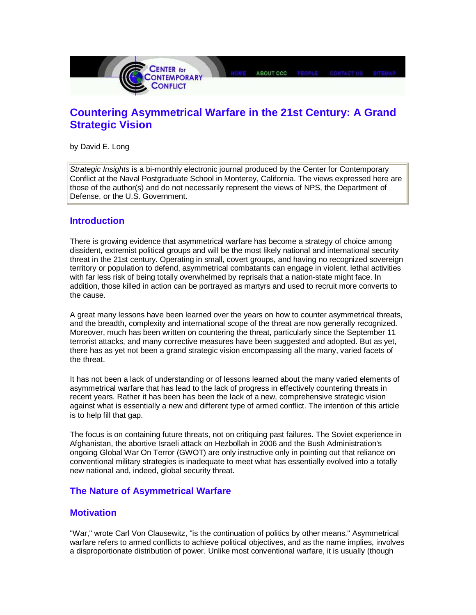

# **Countering Asymmetrical Warfare in the 21st Century: A Grand Strategic Vision**

by David E. Long

Strategic Insights is a bi-monthly electronic journal produced by the Center for Contemporary Conflict at the Naval Postgraduate School in Monterey, California. The views expressed here are those of the author(s) and do not necessarily represent the views of NPS, the Department of Defense, or the U.S. Government.

### **Introduction**

There is growing evidence that asymmetrical warfare has become a strategy of choice among dissident, extremist political groups and will be the most likely national and international security threat in the 21st century. Operating in small, covert groups, and having no recognized sovereign territory or population to defend, asymmetrical combatants can engage in violent, lethal activities with far less risk of being totally overwhelmed by reprisals that a nation-state might face. In addition, those killed in action can be portrayed as martyrs and used to recruit more converts to the cause.

A great many lessons have been learned over the years on how to counter asymmetrical threats, and the breadth, complexity and international scope of the threat are now generally recognized. Moreover, much has been written on countering the threat, particularly since the September 11 terrorist attacks, and many corrective measures have been suggested and adopted. But as yet, there has as yet not been a grand strategic vision encompassing all the many, varied facets of the threat.

It has not been a lack of understanding or of lessons learned about the many varied elements of asymmetrical warfare that has lead to the lack of progress in effectively countering threats in recent years. Rather it has been has been the lack of a new, comprehensive strategic vision against what is essentially a new and different type of armed conflict. The intention of this article is to help fill that gap.

The focus is on containing future threats, not on critiquing past failures. The Soviet experience in Afghanistan, the abortive Israeli attack on Hezbollah in 2006 and the Bush Administration's ongoing Global War On Terror (GWOT) are only instructive only in pointing out that reliance on conventional military strategies is inadequate to meet what has essentially evolved into a totally new national and, indeed, global security threat.

### **The Nature of Asymmetrical Warfare**

### **Motivation**

"War," wrote Carl Von Clausewitz, "is the continuation of politics by other means." Asymmetrical warfare refers to armed conflicts to achieve political objectives, and as the name implies, involves a disproportionate distribution of power. Unlike most conventional warfare, it is usually (though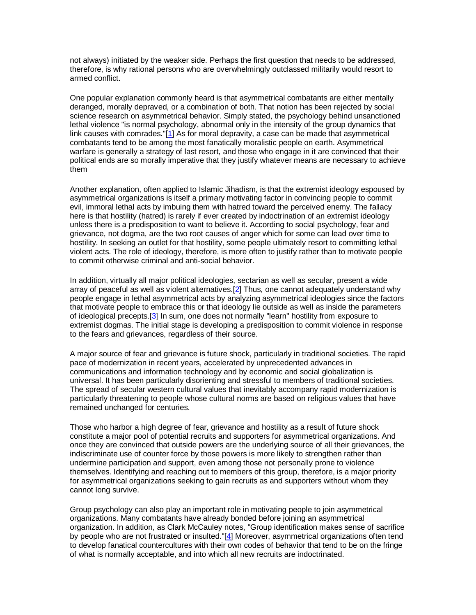not always) initiated by the weaker side. Perhaps the first question that needs to be addressed, therefore, is why rational persons who are overwhelmingly outclassed militarily would resort to armed conflict.

One popular explanation commonly heard is that asymmetrical combatants are either mentally deranged, morally depraved, or a combination of both. That notion has been rejected by social science research on asymmetrical behavior. Simply stated, the psychology behind unsanctioned lethal violence "is normal psychology, abnormal only in the intensity of the group dynamics that link causes with comrades."[1] As for moral depravity, a case can be made that asymmetrical combatants tend to be among the most fanatically moralistic people on earth. Asymmetrical warfare is generally a strategy of last resort, and those who engage in it are convinced that their political ends are so morally imperative that they justify whatever means are necessary to achieve them

Another explanation, often applied to Islamic Jihadism, is that the extremist ideology espoused by asymmetrical organizations is itself a primary motivating factor in convincing people to commit evil, immoral lethal acts by imbuing them with hatred toward the perceived enemy. The fallacy here is that hostility (hatred) is rarely if ever created by indoctrination of an extremist ideology unless there is a predisposition to want to believe it. According to social psychology, fear and grievance, not dogma, are the two root causes of anger which for some can lead over time to hostility. In seeking an outlet for that hostility, some people ultimately resort to committing lethal violent acts. The role of ideology, therefore, is more often to justify rather than to motivate people to commit otherwise criminal and anti-social behavior.

In addition, virtually all major political ideologies, sectarian as well as secular, present a wide array of peaceful as well as violent alternatives.[2] Thus, one cannot adequately understand why people engage in lethal asymmetrical acts by analyzing asymmetrical ideologies since the factors that motivate people to embrace this or that ideology lie outside as well as inside the parameters of ideological precepts.[3] In sum, one does not normally "learn" hostility from exposure to extremist dogmas. The initial stage is developing a predisposition to commit violence in response to the fears and grievances, regardless of their source.

A major source of fear and grievance is future shock, particularly in traditional societies. The rapid pace of modernization in recent years, accelerated by unprecedented advances in communications and information technology and by economic and social globalization is universal. It has been particularly disorienting and stressful to members of traditional societies. The spread of secular western cultural values that inevitably accompany rapid modernization is particularly threatening to people whose cultural norms are based on religious values that have remained unchanged for centuries.

Those who harbor a high degree of fear, grievance and hostility as a result of future shock constitute a major pool of potential recruits and supporters for asymmetrical organizations. And once they are convinced that outside powers are the underlying source of all their grievances, the indiscriminate use of counter force by those powers is more likely to strengthen rather than undermine participation and support, even among those not personally prone to violence themselves. Identifying and reaching out to members of this group, therefore, is a major priority for asymmetrical organizations seeking to gain recruits as and supporters without whom they cannot long survive.

Group psychology can also play an important role in motivating people to join asymmetrical organizations. Many combatants have already bonded before joining an asymmetrical organization. In addition, as Clark McCauley notes, "Group identification makes sense of sacrifice by people who are not frustrated or insulted."[4] Moreover, asymmetrical organizations often tend to develop fanatical countercultures with their own codes of behavior that tend to be on the fringe of what is normally acceptable, and into which all new recruits are indoctrinated.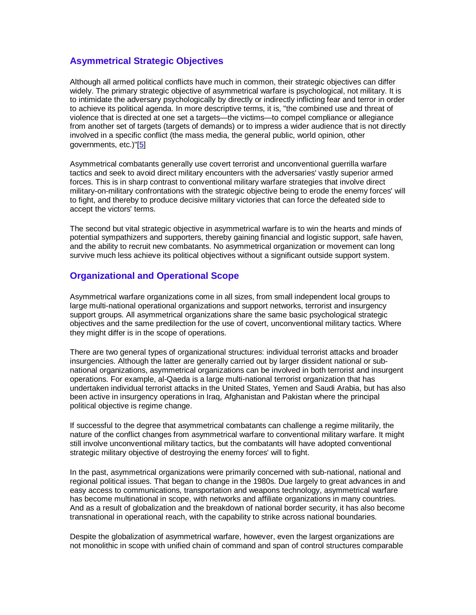# **Asymmetrical Strategic Objectives**

Although all armed political conflicts have much in common, their strategic objectives can differ widely. The primary strategic objective of asymmetrical warfare is psychological, not military. It is to intimidate the adversary psychologically by directly or indirectly inflicting fear and terror in order to achieve its political agenda. In more descriptive terms, it is, "the combined use and threat of violence that is directed at one set a targets—the victims—to compel compliance or allegiance from another set of targets (targets of demands) or to impress a wider audience that is not directly involved in a specific conflict (the mass media, the general public, world opinion, other governments, etc.)"[5]

Asymmetrical combatants generally use covert terrorist and unconventional guerrilla warfare tactics and seek to avoid direct military encounters with the adversaries' vastly superior armed forces. This is in sharp contrast to conventional military warfare strategies that involve direct military-on-military confrontations with the strategic objective being to erode the enemy forces' will to fight, and thereby to produce decisive military victories that can force the defeated side to accept the victors' terms.

The second but vital strategic objective in asymmetrical warfare is to win the hearts and minds of potential sympathizers and supporters, thereby gaining financial and logistic support, safe haven, and the ability to recruit new combatants. No asymmetrical organization or movement can long survive much less achieve its political objectives without a significant outside support system.

# **Organizational and Operational Scope**

Asymmetrical warfare organizations come in all sizes, from small independent local groups to large multi-national operational organizations and support networks, terrorist and insurgency support groups. All asymmetrical organizations share the same basic psychological strategic objectives and the same predilection for the use of covert, unconventional military tactics. Where they might differ is in the scope of operations.

There are two general types of organizational structures: individual terrorist attacks and broader insurgencies. Although the latter are generally carried out by larger dissident national or subnational organizations, asymmetrical organizations can be involved in both terrorist and insurgent operations. For example, al-Qaeda is a large multi-national terrorist organization that has undertaken individual terrorist attacks in the United States, Yemen and Saudi Arabia, but has also been active in insurgency operations in Iraq, Afghanistan and Pakistan where the principal political objective is regime change.

If successful to the degree that asymmetrical combatants can challenge a regime militarily, the nature of the conflict changes from asymmetrical warfare to conventional military warfare. It might still involve unconventional military tactics, but the combatants will have adopted conventional strategic military objective of destroying the enemy forces' will to fight.

In the past, asymmetrical organizations were primarily concerned with sub-national, national and regional political issues. That began to change in the 1980s. Due largely to great advances in and easy access to communications, transportation and weapons technology, asymmetrical warfare has become multinational in scope, with networks and affiliate organizations in many countries. And as a result of globalization and the breakdown of national border security, it has also become transnational in operational reach, with the capability to strike across national boundaries.

Despite the globalization of asymmetrical warfare, however, even the largest organizations are not monolithic in scope with unified chain of command and span of control structures comparable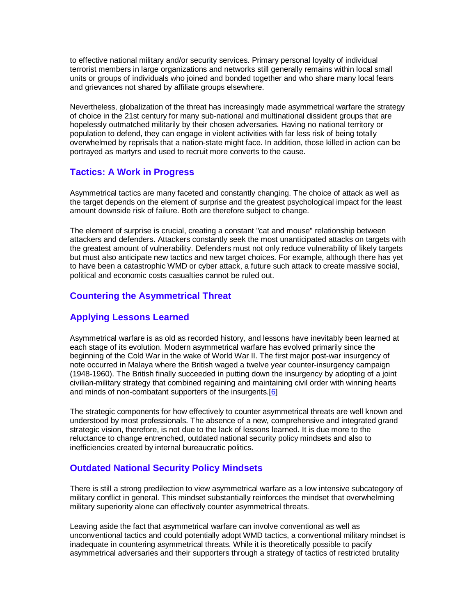to effective national military and/or security services. Primary personal loyalty of individual terrorist members in large organizations and networks still generally remains within local small units or groups of individuals who joined and bonded together and who share many local fears and grievances not shared by affiliate groups elsewhere.

Nevertheless, globalization of the threat has increasingly made asymmetrical warfare the strategy of choice in the 21st century for many sub-national and multinational dissident groups that are hopelessly outmatched militarily by their chosen adversaries. Having no national territory or population to defend, they can engage in violent activities with far less risk of being totally overwhelmed by reprisals that a nation-state might face. In addition, those killed in action can be portrayed as martyrs and used to recruit more converts to the cause.

# **Tactics: A Work in Progress**

Asymmetrical tactics are many faceted and constantly changing. The choice of attack as well as the target depends on the element of surprise and the greatest psychological impact for the least amount downside risk of failure. Both are therefore subject to change.

The element of surprise is crucial, creating a constant "cat and mouse" relationship between attackers and defenders. Attackers constantly seek the most unanticipated attacks on targets with the greatest amount of vulnerability. Defenders must not only reduce vulnerability of likely targets but must also anticipate new tactics and new target choices. For example, although there has yet to have been a catastrophic WMD or cyber attack, a future such attack to create massive social, political and economic costs casualties cannot be ruled out.

# **Countering the Asymmetrical Threat**

# **Applying Lessons Learned**

Asymmetrical warfare is as old as recorded history, and lessons have inevitably been learned at each stage of its evolution. Modern asymmetrical warfare has evolved primarily since the beginning of the Cold War in the wake of World War II. The first major post-war insurgency of note occurred in Malaya where the British waged a twelve year counter-insurgency campaign (1948-1960). The British finally succeeded in putting down the insurgency by adopting of a joint civilian-military strategy that combined regaining and maintaining civil order with winning hearts and minds of non-combatant supporters of the insurgents.<sup>[6]</sup>

The strategic components for how effectively to counter asymmetrical threats are well known and understood by most professionals. The absence of a new, comprehensive and integrated grand strategic vision, therefore, is not due to the lack of lessons learned. It is due more to the reluctance to change entrenched, outdated national security policy mindsets and also to inefficiencies created by internal bureaucratic politics.

# **Outdated National Security Policy Mindsets**

There is still a strong predilection to view asymmetrical warfare as a low intensive subcategory of military conflict in general. This mindset substantially reinforces the mindset that overwhelming military superiority alone can effectively counter asymmetrical threats.

Leaving aside the fact that asymmetrical warfare can involve conventional as well as unconventional tactics and could potentially adopt WMD tactics, a conventional military mindset is inadequate in countering asymmetrical threats. While it is theoretically possible to pacify asymmetrical adversaries and their supporters through a strategy of tactics of restricted brutality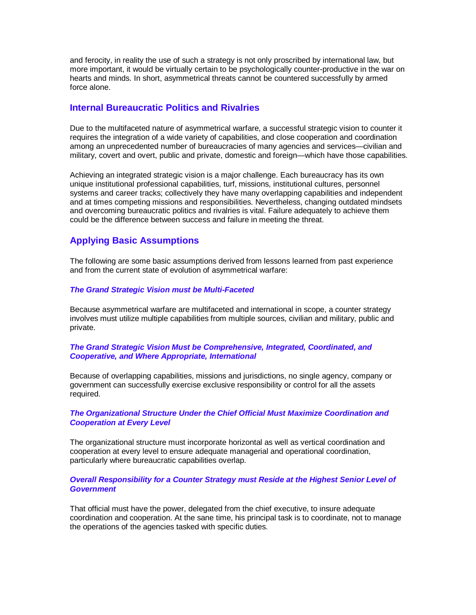and ferocity, in reality the use of such a strategy is not only proscribed by international law, but more important, it would be virtually certain to be psychologically counter-productive in the war on hearts and minds. In short, asymmetrical threats cannot be countered successfully by armed force alone.

### **Internal Bureaucratic Politics and Rivalries**

Due to the multifaceted nature of asymmetrical warfare, a successful strategic vision to counter it requires the integration of a wide variety of capabilities, and close cooperation and coordination among an unprecedented number of bureaucracies of many agencies and services—civilian and military, covert and overt, public and private, domestic and foreign—which have those capabilities.

Achieving an integrated strategic vision is a major challenge. Each bureaucracy has its own unique institutional professional capabilities, turf, missions, institutional cultures, personnel systems and career tracks; collectively they have many overlapping capabilities and independent and at times competing missions and responsibilities. Nevertheless, changing outdated mindsets and overcoming bureaucratic politics and rivalries is vital. Failure adequately to achieve them could be the difference between success and failure in meeting the threat.

# **Applying Basic Assumptions**

The following are some basic assumptions derived from lessons learned from past experience and from the current state of evolution of asymmetrical warfare:

### **The Grand Strategic Vision must be Multi-Faceted**

Because asymmetrical warfare are multifaceted and international in scope, a counter strategy involves must utilize multiple capabilities from multiple sources, civilian and military, public and private.

#### **The Grand Strategic Vision Must be Comprehensive, Integrated, Coordinated, and Cooperative, and Where Appropriate, International**

Because of overlapping capabilities, missions and jurisdictions, no single agency, company or government can successfully exercise exclusive responsibility or control for all the assets required.

#### **The Organizational Structure Under the Chief Official Must Maximize Coordination and Cooperation at Every Level**

The organizational structure must incorporate horizontal as well as vertical coordination and cooperation at every level to ensure adequate managerial and operational coordination, particularly where bureaucratic capabilities overlap.

#### **Overall Responsibility for a Counter Strategy must Reside at the Highest Senior Level of Government**

That official must have the power, delegated from the chief executive, to insure adequate coordination and cooperation. At the sane time, his principal task is to coordinate, not to manage the operations of the agencies tasked with specific duties.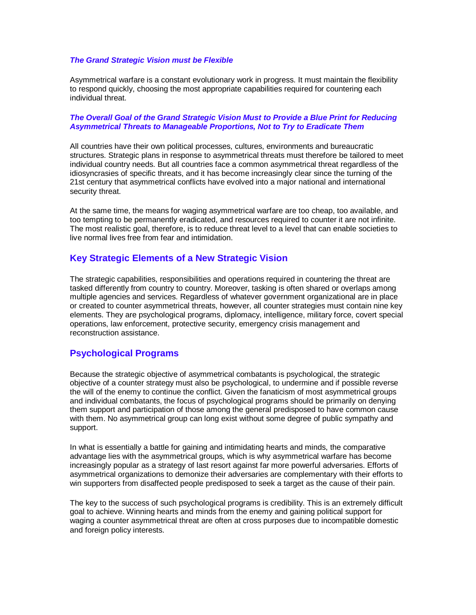#### **The Grand Strategic Vision must be Flexible**

Asymmetrical warfare is a constant evolutionary work in progress. It must maintain the flexibility to respond quickly, choosing the most appropriate capabilities required for countering each individual threat.

#### **The Overall Goal of the Grand Strategic Vision Must to Provide a Blue Print for Reducing Asymmetrical Threats to Manageable Proportions, Not to Try to Eradicate Them**

All countries have their own political processes, cultures, environments and bureaucratic structures. Strategic plans in response to asymmetrical threats must therefore be tailored to meet individual country needs. But all countries face a common asymmetrical threat regardless of the idiosyncrasies of specific threats, and it has become increasingly clear since the turning of the 21st century that asymmetrical conflicts have evolved into a major national and international security threat.

At the same time, the means for waging asymmetrical warfare are too cheap, too available, and too tempting to be permanently eradicated, and resources required to counter it are not infinite. The most realistic goal, therefore, is to reduce threat level to a level that can enable societies to live normal lives free from fear and intimidation.

### **Key Strategic Elements of a New Strategic Vision**

The strategic capabilities, responsibilities and operations required in countering the threat are tasked differently from country to country. Moreover, tasking is often shared or overlaps among multiple agencies and services. Regardless of whatever government organizational are in place or created to counter asymmetrical threats, however, all counter strategies must contain nine key elements. They are psychological programs, diplomacy, intelligence, military force, covert special operations, law enforcement, protective security, emergency crisis management and reconstruction assistance.

### **Psychological Programs**

Because the strategic objective of asymmetrical combatants is psychological, the strategic objective of a counter strategy must also be psychological, to undermine and if possible reverse the will of the enemy to continue the conflict. Given the fanaticism of most asymmetrical groups and individual combatants, the focus of psychological programs should be primarily on denying them support and participation of those among the general predisposed to have common cause with them. No asymmetrical group can long exist without some degree of public sympathy and support.

In what is essentially a battle for gaining and intimidating hearts and minds, the comparative advantage lies with the asymmetrical groups, which is why asymmetrical warfare has become increasingly popular as a strategy of last resort against far more powerful adversaries. Efforts of asymmetrical organizations to demonize their adversaries are complementary with their efforts to win supporters from disaffected people predisposed to seek a target as the cause of their pain.

The key to the success of such psychological programs is credibility. This is an extremely difficult goal to achieve. Winning hearts and minds from the enemy and gaining political support for waging a counter asymmetrical threat are often at cross purposes due to incompatible domestic and foreign policy interests.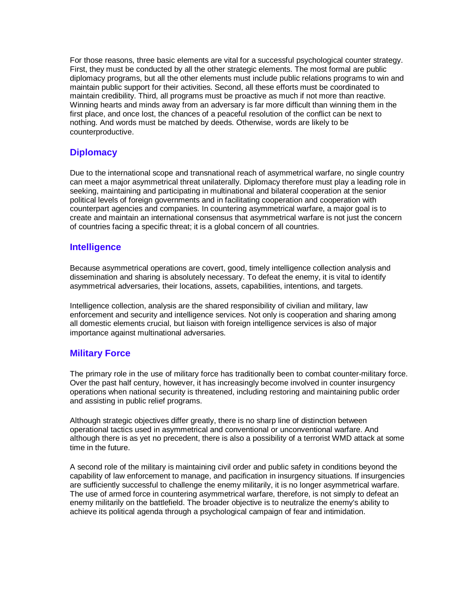For those reasons, three basic elements are vital for a successful psychological counter strategy. First, they must be conducted by all the other strategic elements. The most formal are public diplomacy programs, but all the other elements must include public relations programs to win and maintain public support for their activities. Second, all these efforts must be coordinated to maintain credibility. Third, all programs must be proactive as much if not more than reactive. Winning hearts and minds away from an adversary is far more difficult than winning them in the first place, and once lost, the chances of a peaceful resolution of the conflict can be next to nothing. And words must be matched by deeds. Otherwise, words are likely to be counterproductive.

### **Diplomacy**

Due to the international scope and transnational reach of asymmetrical warfare, no single country can meet a major asymmetrical threat unilaterally. Diplomacy therefore must play a leading role in seeking, maintaining and participating in multinational and bilateral cooperation at the senior political levels of foreign governments and in facilitating cooperation and cooperation with counterpart agencies and companies. In countering asymmetrical warfare, a major goal is to create and maintain an international consensus that asymmetrical warfare is not just the concern of countries facing a specific threat; it is a global concern of all countries.

### **Intelligence**

Because asymmetrical operations are covert, good, timely intelligence collection analysis and dissemination and sharing is absolutely necessary. To defeat the enemy, it is vital to identify asymmetrical adversaries, their locations, assets, capabilities, intentions, and targets.

Intelligence collection, analysis are the shared responsibility of civilian and military, law enforcement and security and intelligence services. Not only is cooperation and sharing among all domestic elements crucial, but liaison with foreign intelligence services is also of major importance against multinational adversaries.

### **Military Force**

The primary role in the use of military force has traditionally been to combat counter-military force. Over the past half century, however, it has increasingly become involved in counter insurgency operations when national security is threatened, including restoring and maintaining public order and assisting in public relief programs.

Although strategic objectives differ greatly, there is no sharp line of distinction between operational tactics used in asymmetrical and conventional or unconventional warfare. And although there is as yet no precedent, there is also a possibility of a terrorist WMD attack at some time in the future.

A second role of the military is maintaining civil order and public safety in conditions beyond the capability of law enforcement to manage, and pacification in insurgency situations. If insurgencies are sufficiently successful to challenge the enemy militarily, it is no longer asymmetrical warfare. The use of armed force in countering asymmetrical warfare, therefore, is not simply to defeat an enemy militarily on the battlefield. The broader objective is to neutralize the enemy's ability to achieve its political agenda through a psychological campaign of fear and intimidation.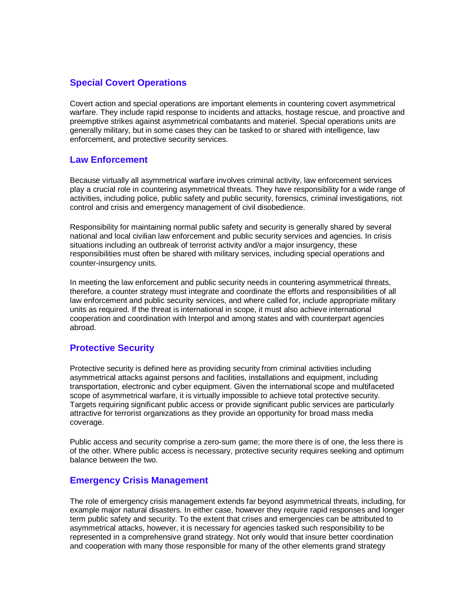# **Special Covert Operations**

Covert action and special operations are important elements in countering covert asymmetrical warfare. They include rapid response to incidents and attacks, hostage rescue, and proactive and preemptive strikes against asymmetrical combatants and materiel. Special operations units are generally military, but in some cases they can be tasked to or shared with intelligence, law enforcement, and protective security services.

# **Law Enforcement**

Because virtually all asymmetrical warfare involves criminal activity, law enforcement services play a crucial role in countering asymmetrical threats. They have responsibility for a wide range of activities, including police, public safety and public security, forensics, criminal investigations, riot control and crisis and emergency management of civil disobedience.

Responsibility for maintaining normal public safety and security is generally shared by several national and local civilian law enforcement and public security services and agencies. In crisis situations including an outbreak of terrorist activity and/or a major insurgency, these responsibilities must often be shared with military services, including special operations and counter-insurgency units.

In meeting the law enforcement and public security needs in countering asymmetrical threats, therefore, a counter strategy must integrate and coordinate the efforts and responsibilities of all law enforcement and public security services, and where called for, include appropriate military units as required. If the threat is international in scope, it must also achieve international cooperation and coordination with Interpol and among states and with counterpart agencies abroad.

### **Protective Security**

Protective security is defined here as providing security from criminal activities including asymmetrical attacks against persons and facilities, installations and equipment, including transportation, electronic and cyber equipment. Given the international scope and multifaceted scope of asymmetrical warfare, it is virtually impossible to achieve total protective security. Targets requiring significant public access or provide significant public services are particularly attractive for terrorist organizations as they provide an opportunity for broad mass media coverage.

Public access and security comprise a zero-sum game; the more there is of one, the less there is of the other. Where public access is necessary, protective security requires seeking and optimum balance between the two.

### **Emergency Crisis Management**

The role of emergency crisis management extends far beyond asymmetrical threats, including, for example major natural disasters. In either case, however they require rapid responses and longer term public safety and security. To the extent that crises and emergencies can be attributed to asymmetrical attacks, however, it is necessary for agencies tasked such responsibility to be represented in a comprehensive grand strategy. Not only would that insure better coordination and cooperation with many those responsible for many of the other elements grand strategy